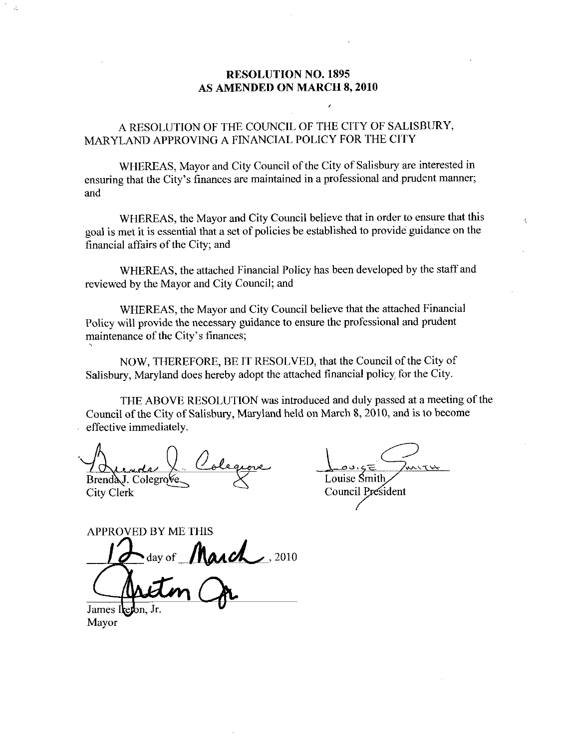#### RESOLUTION NO. 1895 AS AMENDED ON MARCH 8, 2010

A RESOLUTION OF THE COUNCIL OF THE CITY OF SALISBURY MARYLAND APPROVING A FINANCIAL POLICY FOR THE CITY

WHEREAS, Mayor and City Council of the City of Salisbury are interested in ensuring that the City's finances are maintained in a professional and prudent manner; and

WHEREAS, the Mayor and City Council believe that in order to ensure that this goal is met it is essential that a set of policies be established to provide guidance on the financial affairs of the City; and

WHEREAS, the attached Financial Policy has been developed by the staff and reviewed by the Mayor and City Council; and

WHEREAS, the Mayor and City Council believe that the attached Financial Policy will provide the necessary guidance to ensure the professional and prudent WHEREAS, the Mayor and<br>Policy will provide the necessary g<br>maintenance of the City's finances;

NOW. THEREFORE, BE IT RESOLVED, that the Council of the City of Salisbury, Maryland does hereby adopt the attached financial policy for the City.

THE ABOVE RESOLUTION was introduced and duly passed at a meeting of the Council of the City of Salisbury, Maryland held on March 8, 2010, and is to become effective immediately

Brenda J. Colegrove City Clerk

Louise Smith Council President

 $\epsilon$ 

APPROVED BY ME THIS  $\sigma$  of March , 2010 James Iteron, Jr.<br>Mayor

Mayor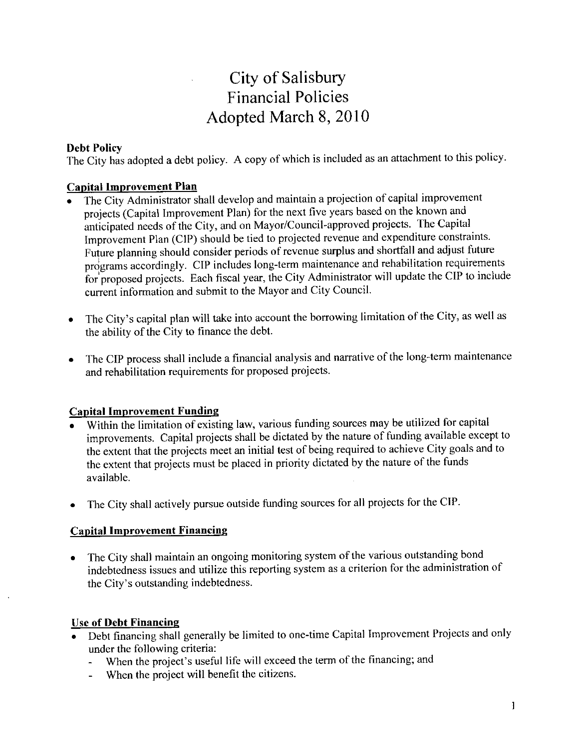## City of Salisbury Financial Policies Adopted March 8, 2010

#### Debt Policy

The City has adopted a debt policy. A copy of which is included as an attachment to this policy.

#### Capital Improvement Plan

- The City Administrator shall develop and maintain a projection of capital improvement projects (Capital Improvement Plan) for the next five years based on the known and anticipated needs of the City, and on Mayor/Council approved projects. The Capital Improvement Plan (CIP) should be tied to projected revenue and expenditure constraints.<br>Future planning should consider periods of revenue surplus and shortfall and adjust future Financial Policies<br>
Adopted March 8, 2010<br>
Otty has adopted a debt policy. A copy of which is included as an attachment to this policy.<br>
Dital Improvement Plan<br>
The City Administrator shall develop and maintain a projectio programs accordingly. CIP includes long-term maintenance and rehabilitation requirements for proposed projects. Each fiscal year, the City Administrator will update the CIP to include current information and submit to the Mayor and City Council
- The City's capital plan will take into account the borrowing limitation of the City, as well as  $\bullet$ the ability of the City to finance the debt.
- The CIP process shall include a financial analysis and narrative of the long-term maintenance  $\bullet$ and rehabilitation requirements for proposed projects

#### **Capital Improvement Funding**

- Within the limitation of existing law, various funding sources may be utilized for capital improvements Capital projects shall be dictated by the nature of funding available except to the extent that the projects meet an initial test of being required to achieve City goals and to the extent that projects must be placed in priority dictated by the nature of the funds available
- The City shall actively pursue outside funding sources for all projects for the CIP

#### **Capital Improvement Financing**

The City shall maintain an ongoing monitoring system of the various outstanding bond indebtedness issues and utilize this reporting system as a criterion for the administration of The City shall maintain an ongoing<br>indebtedness issues and utilize this<br>the City's outstanding indebtedness

#### Use of Debt Financing

- Debt financing shall generally be limited to one-time Capital Improvement Projects and only under the following criteria: **Debt Financing**<br>ot financing shall ger the following cr<br>When the project's<br>When the project v
	- useful life will exceed the term of the financing; and
	- When the project will benefit the citizens.  $\overline{a}$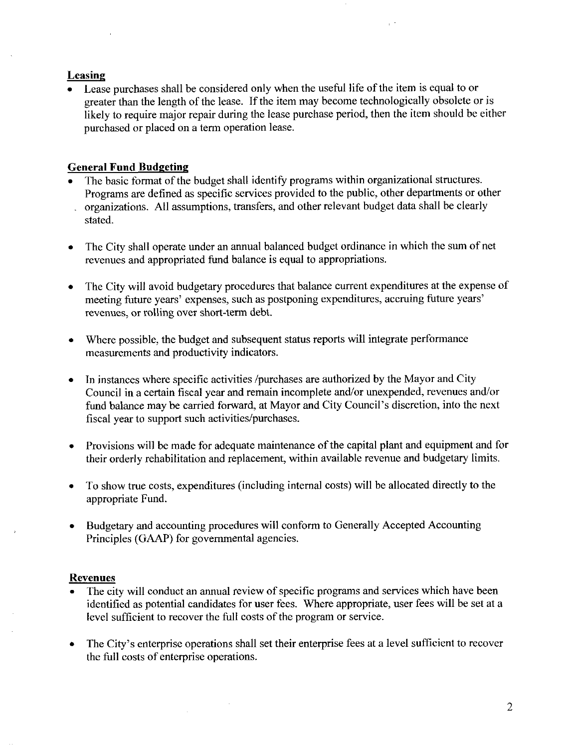#### Leasing

Lease purchases shall be considered only when the useful life of the item is equal to or greater than the length of the lease. If the item may become technologically obsolete or is likely to require major repair during the lease purchase period, then the item should be either purchased or placed on a term operation lease.

#### **General Fund Budgeting**

- The basic format of the budget shall identify programs within organizational structures Programs are defined as specific services provided to the public, other departments or other organizations. All assumptions, transfers, and other relevant budget data shall be clearly stated.
- The City shall operate under an annual balanced budget ordinance in which the sum of net revenues and appropriated fund balance is equal to appropriations
- The City will avoid budgetary procedures that balance current expenditures at the expense of meeting future years' expenses, such as postponing expenditures, accruing future years' revenues, or rolling over short-term debt.
- Where possible, the budget and subsequent status reports will integrate performance  $\bullet$ measurements and productivity indicators
- In instances where specific activities /purchases are authorized by the Mayor and City  $\bullet$ Council in a certain fiscal year and remain incomplete and/or unexpended, revenues and/or fund balance may be carried forward, at Mayor and City Council's discretion, into the next fiscal year to support such activities/purchases.
- Provisions will be made for adequate maintenance of the capital plant and equipment and for their orderly rehabilitation and replacement, within available revenue and budgetary limits.
- To show true costs, expenditures (including internal costs) will be allocated directly to the  $\bullet$ appropriate Fund
- Budgetary and accounting procedures will conform to Generally Accepted Accounting Principles (GAAP) for governmental agencies.

#### Revenues

- The city will conduct an annual review of specific programs and services which have been identified as potential candidates for user fees. Where appropriate, user fees will be set at a level sufficient to recover the full costs of the program or service.
- The City's enterprise operations shall set their enterprise fees at a level sufficient to recover the full costs of enterprise operations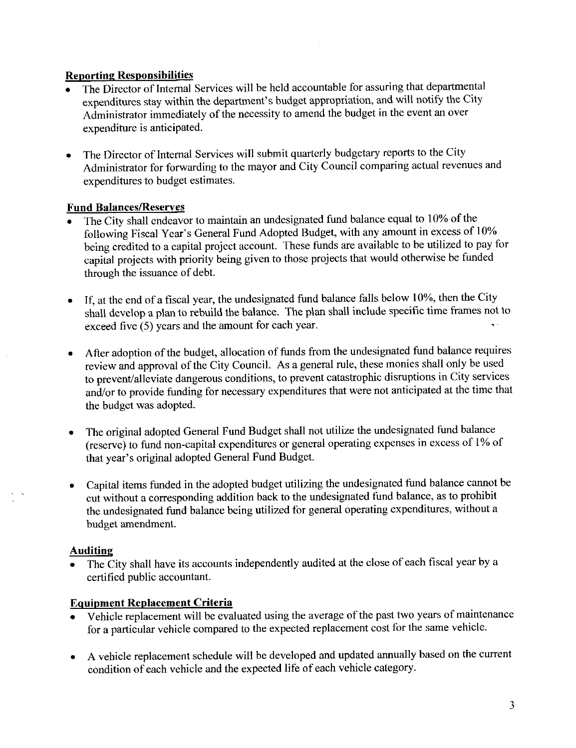#### Reporting Responsibilities

- The Director of Internal Services will be held accountable for assuring that departmental expenditures stay within the department's budget appropriation, and will notify the City Administrator immediately of the necessity to amend the budget in the event an over expenditure is anticipated
- The Director of Internal Services will submit quarterly budgetary reports to the City  $\bullet$ Administrator for forwazding to the mayor and City Council comparing actual revenues and expenditures to budget estimates

#### Fund Balances/Reserves

- The City shall endeavor to maintain an undesignated fund balance equal to  $10\%$  of the following Fiscal Year's General Fund Adopted Budget, with any amount in excess of 10% being credited to a capital project account. These funds are available to be utilized to pay for capital projects with priority being given to those projects that would otherwise be funded through the issuance of debt
- 1f, at the end of a fiscal year, the undesignated fund balance falls below 10%, then the City  $\bullet$ shall develop a plan to rebuild the balance. The plan shall include specific time frames not to exceed five  $(5)$  years and the amount for each year.
- After adoption of the budget, allocation of funds from the undesignated fund balance requires review and approval of the City Council. As a general rule, these monies shall only be used to prevent alleviate dangerous conditions to prevent catastrophic disruptions in City services and/or to provide funding for necessary expenditures that were not anticipated at the time that the budget was adopted.
- The original adopted General Fund Budget shall not utilize the undesignated fund balance The original adopted General Fund Budget shall not utilize the undesignated fund balance (reserve) to fund non-capital expenditures or general operating expenses in excess of 1% of that year's original adopted General Fund
- Capital items funded in the adopted budget utilizing the undesignated fund balance cannot be cut without a corresponding addition back to the undesignated fund balance, as to prohibit the undesignated fund balance being utilized for general operating expenditures, without a budget amendment

#### Auditing

The City shall have its accounts independently audited at the close of each fiscal year by a certified public accountant

#### Equipment Replacement Criteria

- Vehicle replacement will be evaluated using the average of the past two years of maintenance for a particular vehicle compared to the expected replacement cost for the same vehicle.
- A vehicle replacement schedule will be developed and updated annually based on the current  $\bullet$ condition of each vehicle and the expected life of each vehicle category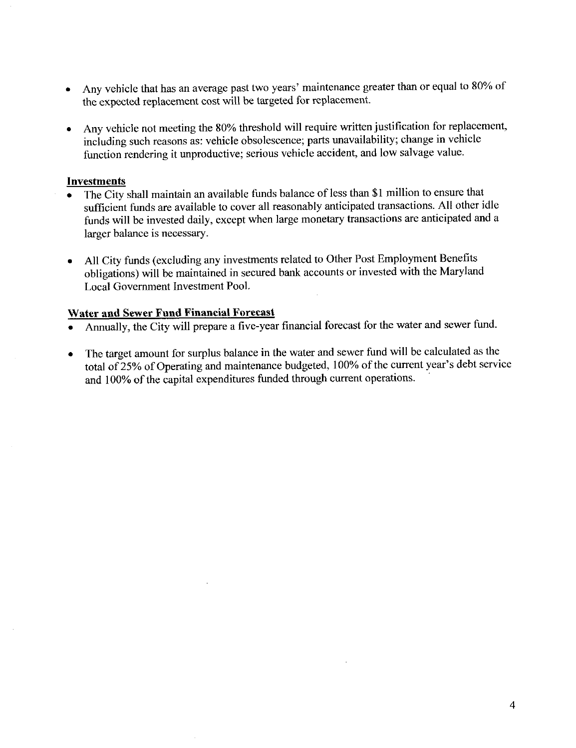- Any vehicle that has an average past two years' maintenance greater than or equal to 80% of  $\bullet$ the expected replacement cost will be targeted for replacement.
- Any vehicle not meeting the 80% threshold will require written justification for replacement,  $\bullet$ including such reasons as: vehicle obsolescence; parts unavailability; change in vehicle function rendering it unproductive; serious vehicle accident, and low salvage value.

#### Investments

- The City shall maintain an available funds balance of less than \$1 million to ensure that  $\bullet$ sufficient funds are available to cover all reasonably anticipated transactions. All other idle funds will be invested daily, except when large monetary transactions are anticipated and a larger balance is necessary
- All City funds (excluding any investments related to Other Post Employment Benefits  $\bullet$ obligations) will be maintained in secured bank accounts or invested with the Maryland Local Government Investment Pool

#### Water and Sewer Fund Financial Forecast

- Annually, the City will prepare a five-year financial forecast for the water and sewer fund.
- The target amount for surplus balance in the water and sewer fund will be calculated as the  $\bullet$ total of 25% of Operating and maintenance budgeted, 100% of the current year's debt service and 100% of the capital expenditures funded through current operations.